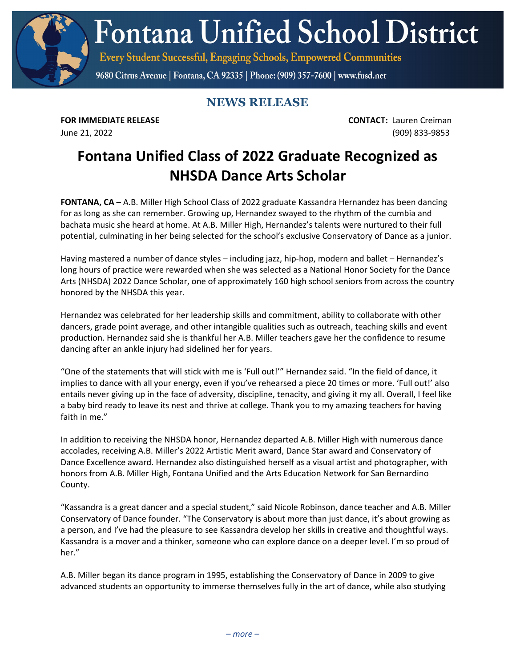**Fontana Unified School District** 

Every Student Successful, Engaging Schools, Empowered Communities

9680 Citrus Avenue | Fontana, CA 92335 | Phone: (909) 357-7600 | www.fusd.net

## **NEWS RELEASE**

**FOR IMMEDIATE RELEASE CONTACT:** Lauren Creiman June 21, 2022 (909) 833-9853

## **Fontana Unified Class of 2022 Graduate Recognized as NHSDA Dance Arts Scholar**

**FONTANA, CA** – A.B. Miller High School Class of 2022 graduate Kassandra Hernandez has been dancing for as long as she can remember. Growing up, Hernandez swayed to the rhythm of the cumbia and bachata music she heard at home. At A.B. Miller High, Hernandez's talents were nurtured to their full potential, culminating in her being selected for the school's exclusive Conservatory of Dance as a junior.

Having mastered a number of dance styles – including jazz, hip-hop, modern and ballet – Hernandez's long hours of practice were rewarded when she was selected as a National Honor Society for the Dance Arts (NHSDA) 2022 Dance Scholar, one of approximately 160 high school seniors from across the country honored by the NHSDA this year.

Hernandez was celebrated for her leadership skills and commitment, ability to collaborate with other dancers, grade point average, and other intangible qualities such as outreach, teaching skills and event production. Hernandez said she is thankful her A.B. Miller teachers gave her the confidence to resume dancing after an ankle injury had sidelined her for years.

"One of the statements that will stick with me is 'Full out!'" Hernandez said. "In the field of dance, it implies to dance with all your energy, even if you've rehearsed a piece 20 times or more. 'Full out!' also entails never giving up in the face of adversity, discipline, tenacity, and giving it my all. Overall, I feel like a baby bird ready to leave its nest and thrive at college. Thank you to my amazing teachers for having faith in me."

In addition to receiving the NHSDA honor, Hernandez departed A.B. Miller High with numerous dance accolades, receiving A.B. Miller's 2022 Artistic Merit award, Dance Star award and Conservatory of Dance Excellence award. Hernandez also distinguished herself as a visual artist and photographer, with honors from A.B. Miller High, Fontana Unified and the Arts Education Network for San Bernardino County.

"Kassandra is a great dancer and a special student," said Nicole Robinson, dance teacher and A.B. Miller Conservatory of Dance founder. "The Conservatory is about more than just dance, it's about growing as a person, and I've had the pleasure to see Kassandra develop her skills in creative and thoughtful ways. Kassandra is a mover and a thinker, someone who can explore dance on a deeper level. I'm so proud of her."

A.B. Miller began its dance program in 1995, establishing the Conservatory of Dance in 2009 to give advanced students an opportunity to immerse themselves fully in the art of dance, while also studying